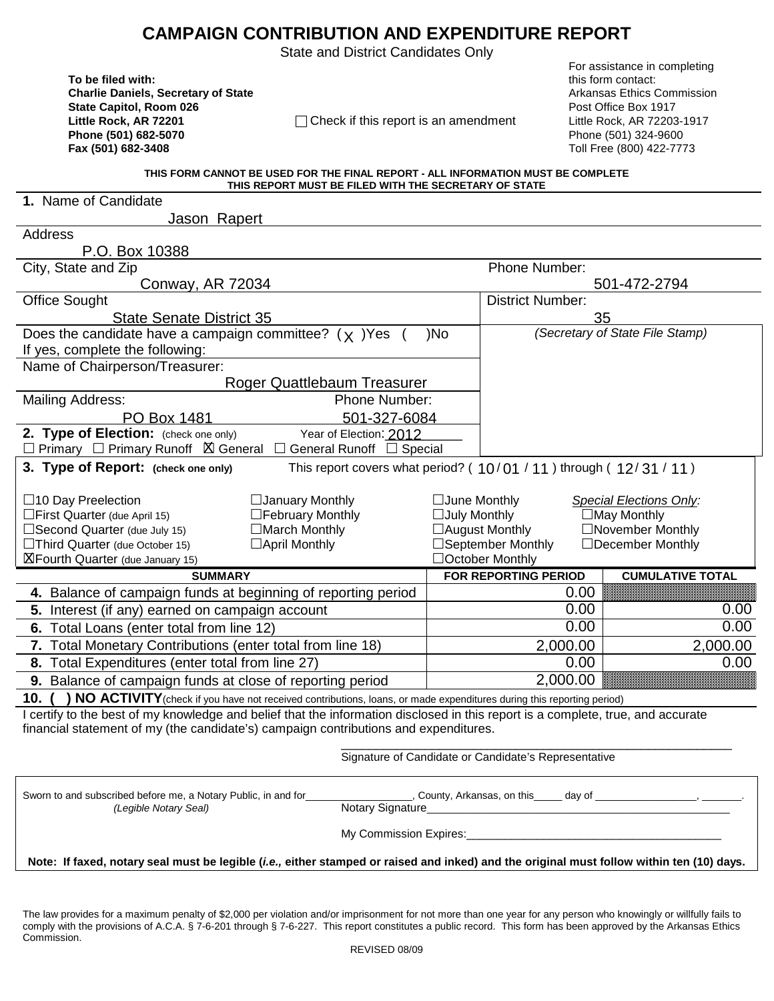## **CAMPAIGN CONTRIBUTION AND EXPENDITURE REPORT**

State and District Candidates Only

**To be filed with:** this form contact: **Charlie Daniels, Secretary of State** Arkansas Ethics Commission **Charlie Daniels, Secretary of State** Arkansas Ethics Commission **State Capitol, Room 026 Post Office Box 1917 Post Office Box 1917 Phone (501) 682-5070** Phone (501) 324-9600

**Little Rock, AR 72201** Check if this report is an amendment Little Rock, AR 72203-1917

 For assistance in completing **Fax (501) 682-3408** Toll Free (800) 422-7773

#### **THIS FORM CANNOT BE USED FOR THE FINAL REPORT - ALL INFORMATION MUST BE COMPLETE THIS REPORT MUST BE FILED WITH THE SECRETARY OF STATE**

| 1. Name of Candidate                                                                                                                                                                                                                                     |                             |                     |                                                                       |                                                                         |
|----------------------------------------------------------------------------------------------------------------------------------------------------------------------------------------------------------------------------------------------------------|-----------------------------|---------------------|-----------------------------------------------------------------------|-------------------------------------------------------------------------|
| Jason Rapert                                                                                                                                                                                                                                             |                             |                     |                                                                       |                                                                         |
| Address                                                                                                                                                                                                                                                  |                             |                     |                                                                       |                                                                         |
| P.O. Box 10388                                                                                                                                                                                                                                           |                             |                     |                                                                       |                                                                         |
| City, State and Zip                                                                                                                                                                                                                                      |                             |                     | Phone Number:                                                         |                                                                         |
| Conway, AR 72034                                                                                                                                                                                                                                         |                             |                     |                                                                       | 501-472-2794                                                            |
| <b>Office Sought</b>                                                                                                                                                                                                                                     |                             |                     | <b>District Number:</b>                                               |                                                                         |
| <b>State Senate District 35</b>                                                                                                                                                                                                                          |                             |                     | 35                                                                    |                                                                         |
| Does the candidate have a campaign committee? $(y)$ Yes                                                                                                                                                                                                  |                             | )No                 | (Secretary of State File Stamp)                                       |                                                                         |
| If yes, complete the following:                                                                                                                                                                                                                          |                             |                     |                                                                       |                                                                         |
| Name of Chairperson/Treasurer:                                                                                                                                                                                                                           |                             |                     |                                                                       |                                                                         |
|                                                                                                                                                                                                                                                          | Roger Quattlebaum Treasurer |                     |                                                                       |                                                                         |
| <b>Mailing Address:</b>                                                                                                                                                                                                                                  | Phone Number:               |                     |                                                                       |                                                                         |
| PO Box 1481                                                                                                                                                                                                                                              | 501-327-6084                |                     |                                                                       |                                                                         |
| 2. Type of Election: (check one only)                                                                                                                                                                                                                    | Year of Election: 2012      |                     |                                                                       |                                                                         |
| $\Box$ Primary $\Box$ Primary Runoff $\boxtimes$ General $\Box$ General Runoff $\Box$ Special                                                                                                                                                            |                             |                     |                                                                       |                                                                         |
| 3. Type of Report: (check one only)                                                                                                                                                                                                                      |                             |                     | This report covers what period? ( $10/01/11$ ) through ( $12/31/11$ ) |                                                                         |
|                                                                                                                                                                                                                                                          |                             |                     |                                                                       |                                                                         |
| $\Box$ 10 Day Preelection                                                                                                                                                                                                                                | □ January Monthly           | $\Box$ June Monthly |                                                                       | <b>Special Elections Only:</b>                                          |
| □ First Quarter (due April 15)                                                                                                                                                                                                                           | □February Monthly           | $\Box$ July Monthly |                                                                       | $\Box$ May Monthly                                                      |
| □March Monthly<br>□Second Quarter (due July 15)                                                                                                                                                                                                          |                             |                     | □August Monthly                                                       | □November Monthly                                                       |
| □Third Quarter (due October 15)<br>$\Box$ April Monthly                                                                                                                                                                                                  |                             |                     | □September Monthly                                                    | $\Box$ December Monthly                                                 |
| <b>X</b> Fourth Quarter (due January 15)                                                                                                                                                                                                                 |                             |                     | □October Monthly                                                      |                                                                         |
| <b>SUMMARY</b>                                                                                                                                                                                                                                           |                             |                     | FOR REPORTING PERIOD                                                  | <b>CUMULATIVE TOTAL</b>                                                 |
| 4. Balance of campaign funds at beginning of reporting period                                                                                                                                                                                            |                             |                     | 0.00                                                                  |                                                                         |
| 5. Interest (if any) earned on campaign account                                                                                                                                                                                                          |                             |                     | 0.00                                                                  | 0.00                                                                    |
| 6. Total Loans (enter total from line 12)                                                                                                                                                                                                                |                             |                     | 0.00                                                                  | 0.00                                                                    |
| 7. Total Monetary Contributions (enter total from line 18)                                                                                                                                                                                               |                             |                     | 2,000.00                                                              | 2,000.00                                                                |
| 8. Total Expenditures (enter total from line 27)                                                                                                                                                                                                         |                             |                     | 0.00                                                                  | 0.00                                                                    |
| 9. Balance of campaign funds at close of reporting period                                                                                                                                                                                                |                             |                     | 2,000.00                                                              |                                                                         |
| 10.1                                                                                                                                                                                                                                                     |                             |                     |                                                                       |                                                                         |
| NO ACTIVITY (check if you have not received contributions, loans, or made expenditures during this reporting period)<br>I certify to the best of my knowledge and belief that the information disclosed in this report is a complete, true, and accurate |                             |                     |                                                                       |                                                                         |
| financial statement of my (the candidate's) campaign contributions and expenditures.                                                                                                                                                                     |                             |                     |                                                                       |                                                                         |
|                                                                                                                                                                                                                                                          |                             |                     |                                                                       |                                                                         |
|                                                                                                                                                                                                                                                          |                             |                     | Signature of Candidate or Candidate's Representative                  |                                                                         |
|                                                                                                                                                                                                                                                          |                             |                     |                                                                       |                                                                         |
| Sworn to and subscribed before me, a Notary Public, in and for____                                                                                                                                                                                       |                             |                     |                                                                       | County, Arkansas, on this ______ day of ____________________, ________. |
| (Legible Notary Seal)                                                                                                                                                                                                                                    | Notary Signature_           |                     |                                                                       |                                                                         |
|                                                                                                                                                                                                                                                          |                             |                     |                                                                       |                                                                         |
|                                                                                                                                                                                                                                                          |                             |                     |                                                                       |                                                                         |
|                                                                                                                                                                                                                                                          |                             |                     |                                                                       |                                                                         |
| Note: If faxed, notary seal must be legible (i.e., either stamped or raised and inked) and the original must follow within ten (10) days.                                                                                                                |                             |                     |                                                                       |                                                                         |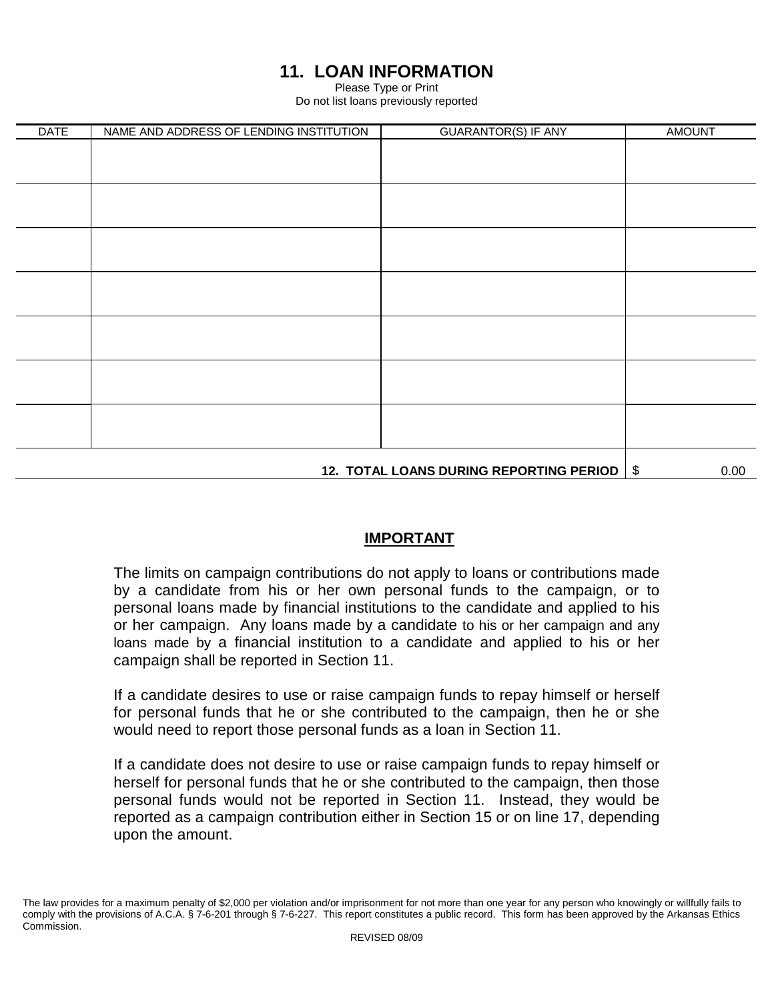# **11. LOAN INFORMATION**

Please Type or Print

Do not list loans previously reported

| <b>DATE</b>                                  | NAME AND ADDRESS OF LENDING INSTITUTION | <b>GUARANTOR(S) IF ANY</b> | <b>AMOUNT</b> |      |
|----------------------------------------------|-----------------------------------------|----------------------------|---------------|------|
|                                              |                                         |                            |               |      |
|                                              |                                         |                            |               |      |
|                                              |                                         |                            |               |      |
|                                              |                                         |                            |               |      |
|                                              |                                         |                            |               |      |
|                                              |                                         |                            |               |      |
|                                              |                                         |                            |               |      |
|                                              |                                         |                            |               |      |
|                                              |                                         |                            |               |      |
|                                              |                                         |                            |               |      |
|                                              |                                         |                            |               |      |
|                                              |                                         |                            |               |      |
|                                              |                                         |                            |               |      |
|                                              |                                         |                            |               |      |
|                                              |                                         |                            |               |      |
|                                              |                                         |                            |               |      |
|                                              |                                         |                            |               |      |
|                                              |                                         |                            |               |      |
| 12. TOTAL LOANS DURING REPORTING PERIOD   \$ |                                         |                            |               | 0.00 |

## **IMPORTANT**

The limits on campaign contributions do not apply to loans or contributions made by a candidate from his or her own personal funds to the campaign, or to personal loans made by financial institutions to the candidate and applied to his or her campaign. Any loans made by a candidate to his or her campaign and any loans made by a financial institution to a candidate and applied to his or her campaign shall be reported in Section 11.

If a candidate desires to use or raise campaign funds to repay himself or herself for personal funds that he or she contributed to the campaign, then he or she would need to report those personal funds as a loan in Section 11.

If a candidate does not desire to use or raise campaign funds to repay himself or herself for personal funds that he or she contributed to the campaign, then those personal funds would not be reported in Section 11. Instead, they would be reported as a campaign contribution either in Section 15 or on line 17, depending upon the amount.

The law provides for a maximum penalty of \$2,000 per violation and/or imprisonment for not more than one year for any person who knowingly or willfully fails to comply with the provisions of A.C.A. § 7-6-201 through § 7-6-227. This report constitutes a public record. This form has been approved by the Arkansas Ethics Commission.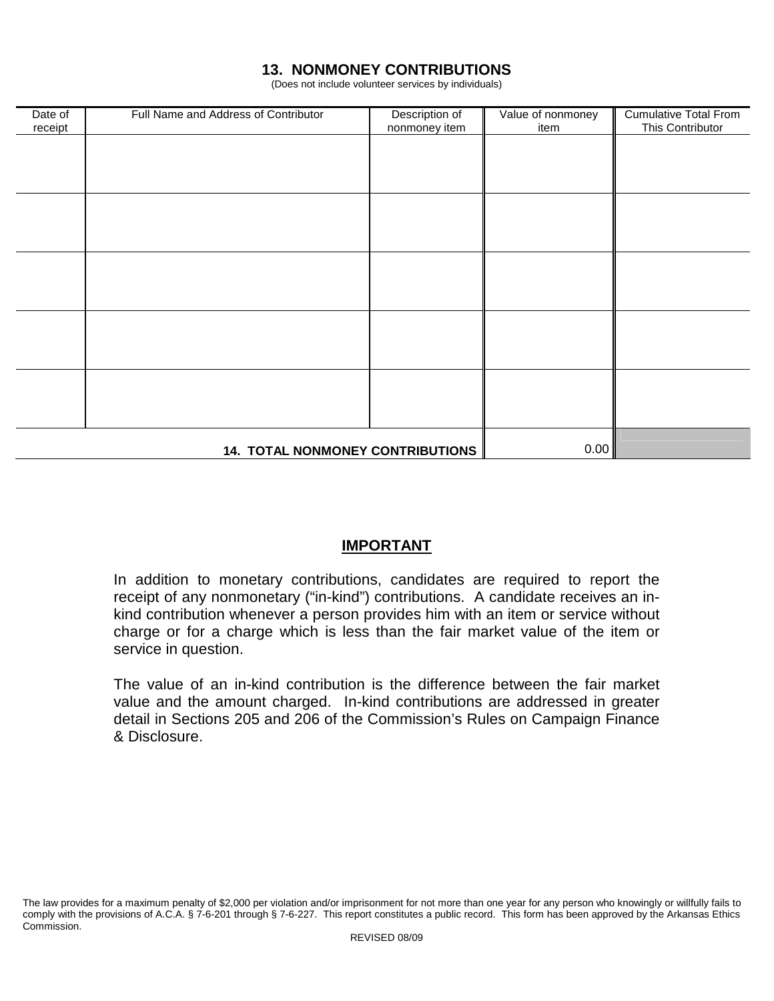## **13. NONMONEY CONTRIBUTIONS**

(Does not include volunteer services by individuals)

| Date of<br>receipt | Full Name and Address of Contributor    | Description of<br>nonmoney item | Value of nonmoney<br>item | <b>Cumulative Total From</b><br>This Contributor |
|--------------------|-----------------------------------------|---------------------------------|---------------------------|--------------------------------------------------|
|                    |                                         |                                 |                           |                                                  |
|                    |                                         |                                 |                           |                                                  |
|                    |                                         |                                 |                           |                                                  |
|                    |                                         |                                 |                           |                                                  |
|                    |                                         |                                 |                           |                                                  |
|                    |                                         |                                 |                           |                                                  |
|                    |                                         |                                 |                           |                                                  |
|                    |                                         |                                 |                           |                                                  |
|                    |                                         |                                 |                           |                                                  |
|                    |                                         |                                 |                           |                                                  |
|                    | <b>14. TOTAL NONMONEY CONTRIBUTIONS</b> |                                 | 0.00                      |                                                  |

## **IMPORTANT**

In addition to monetary contributions, candidates are required to report the receipt of any nonmonetary ("in-kind") contributions. A candidate receives an inkind contribution whenever a person provides him with an item or service without charge or for a charge which is less than the fair market value of the item or service in question.

The value of an in-kind contribution is the difference between the fair market value and the amount charged. In-kind contributions are addressed in greater detail in Sections 205 and 206 of the Commission's Rules on Campaign Finance & Disclosure.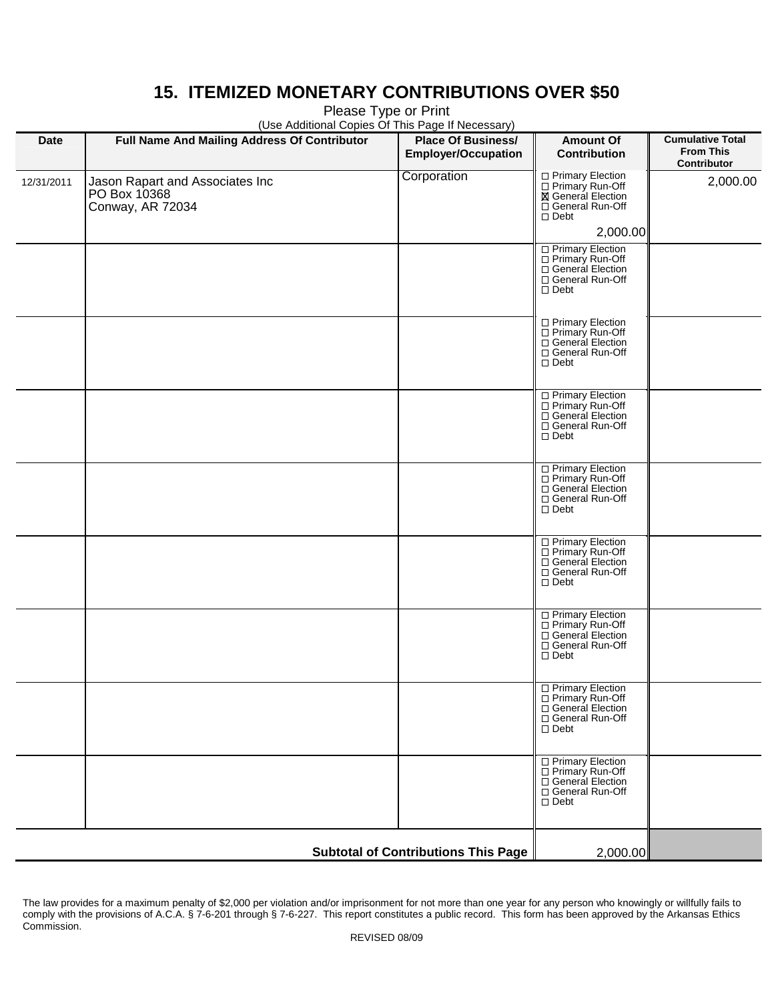# **15. ITEMIZED MONETARY CONTRIBUTIONS OVER \$50**

Please Type or Print

| (Use Additional Copies Of This Page If Necessary) |                                                                     |                                                         |                                                                                                          |                                                            |  |
|---------------------------------------------------|---------------------------------------------------------------------|---------------------------------------------------------|----------------------------------------------------------------------------------------------------------|------------------------------------------------------------|--|
| <b>Date</b>                                       | Full Name And Mailing Address Of Contributor                        | <b>Place Of Business/</b><br><b>Employer/Occupation</b> | <b>Amount Of</b><br><b>Contribution</b>                                                                  | <b>Cumulative Total</b><br><b>From This</b><br>Contributor |  |
| 12/31/2011                                        | Jason Rapart and Associates Inc<br>PO Box 10368<br>Conway, AR 72034 | Corporation                                             | □ Primary Election<br>□ Primary Run-Off<br><b>X</b> General Election<br>□ General Run-Off<br>$\Box$ Debt | 2,000.00                                                   |  |
|                                                   |                                                                     |                                                         | 2,000.00                                                                                                 |                                                            |  |
|                                                   |                                                                     |                                                         | □ Primary Election<br>□ Primary Run-Off<br>□ General Election<br>□ General Run-Off<br>$\Box$ Debt        |                                                            |  |
|                                                   |                                                                     |                                                         | □ Primary Election<br>□ Primary Run-Off<br>General Election<br>□ General Run-Off<br>$\square$ Debt       |                                                            |  |
|                                                   |                                                                     |                                                         | □ Primary Election<br>□ Primary Run-Off<br>□ General Election<br>□ General Run-Off<br>$\Box$ Debt        |                                                            |  |
|                                                   |                                                                     |                                                         | □ Primary Election<br>□ Primary Run-Off<br>□ General Election<br>General Run-Off<br>$\Box$ Debt          |                                                            |  |
|                                                   |                                                                     |                                                         | □ Primary Election<br>□ Primary Run-Off<br>□ General Election<br>□ General Run-Off<br>$\Box$ Debt        |                                                            |  |
|                                                   |                                                                     |                                                         | □ Primary Election<br>□ Primary Run-Off<br>□ General Election<br>□ General Run-Off<br>$\Box$ Debt        |                                                            |  |
|                                                   |                                                                     |                                                         | □ Primary Election<br>□ Primary Run-Off<br>General Election<br>□ General Run-Off<br>$\Box$ Debt          |                                                            |  |
|                                                   |                                                                     |                                                         | □ Primary Election<br>□ Primary Run-Off<br>□ General Election<br>□ General Run-Off<br>$\Box$ Debt        |                                                            |  |
|                                                   | <b>Subtotal of Contributions This Page</b>                          | 2,000.00                                                |                                                                                                          |                                                            |  |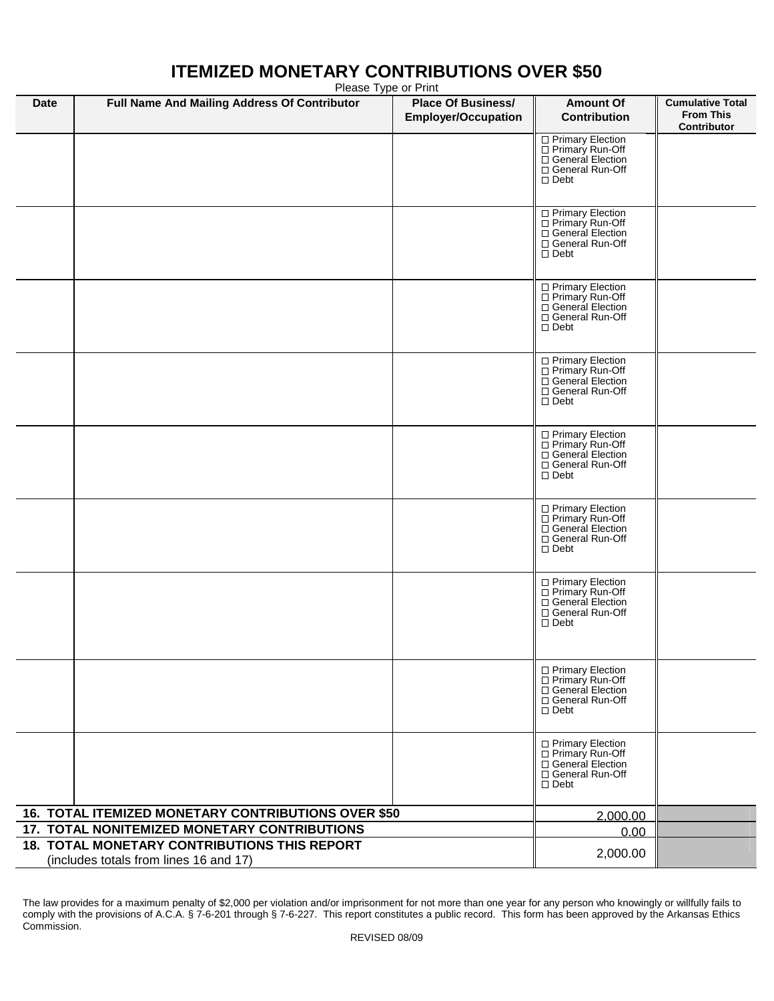#### **Date Full Name And Mailing Address Of Contributor Place Of Business/ Employer/Occupation Amount Of Contribution Cumulative Total From This Contributor 16. TOTAL ITEMIZED MONETARY CONTRIBUTIONS OVER \$50 17. TOTAL NONITEMIZED MONETARY CONTRIBUTIONS 18. TOTAL MONETARY CONTRIBUTIONS THIS REPORT**  (includes totals from lines 16 and 17) □ Primary Election □ Primary Run-Off □ General Election □ General Run-Off □ Debt □ Primary Election □ Primary Run-Off □ General Election □ General Run-Off □ Debt □ Primary Election □ Primary Run-Off □ General Election □ General Run-Off Debt □ Primary Election □ Primary Run-Off □ General Election □ General Run-Off □ Debt □ Primary Election □ Primary Run-Off General Election General Run-Off Debt □ Primary Election Primary Run-Off □ General Election General Run-Off Debt □ Primary Election □ Primary Run-Off □ General Election General Run-Off Debt □ Primary Election □ Primary Run-Off □ General Election □ General Run-Off □ Debt □ Primary Election □ Primary Run-Off □ General Election □ General Run-Off □ Debt 2,000.00 0.00 2,000.00

# **ITEMIZED MONETARY CONTRIBUTIONS OVER \$50**

Please Type or Print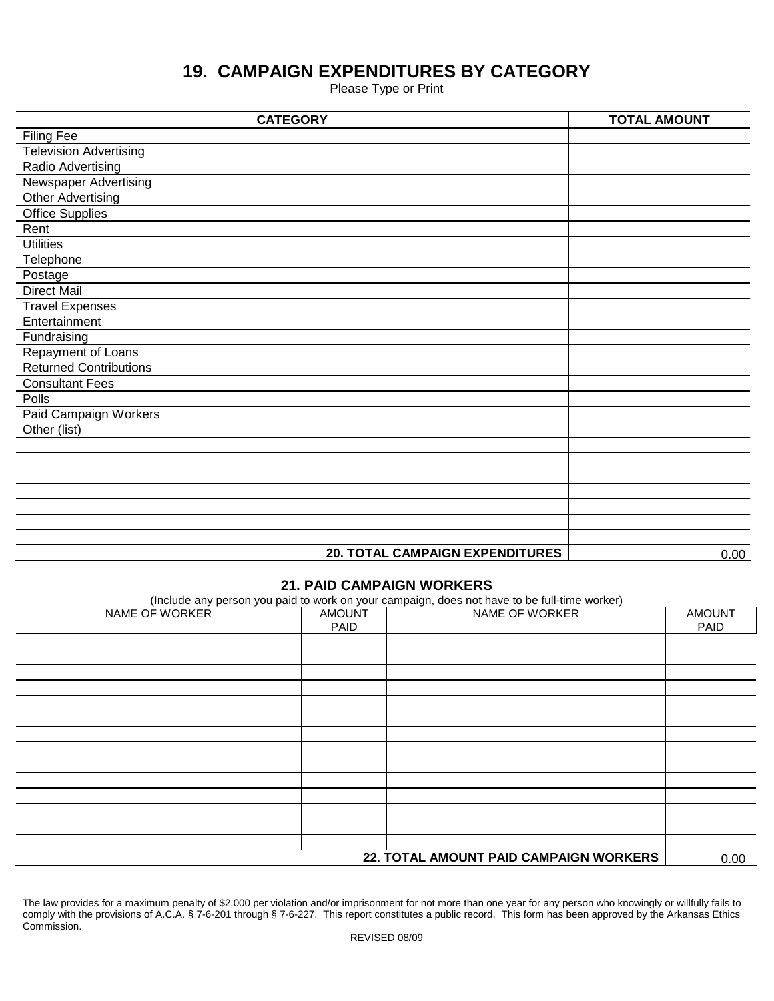# **19. CAMPAIGN EXPENDITURES BY CATEGORY**

Please Type or Print

| <b>CATEGORY</b>               |                                        | <b>TOTAL AMOUNT</b> |
|-------------------------------|----------------------------------------|---------------------|
| <b>Filing Fee</b>             |                                        |                     |
| <b>Television Advertising</b> |                                        |                     |
| <b>Radio Advertising</b>      |                                        |                     |
| <b>Newspaper Advertising</b>  |                                        |                     |
| Other Advertising             |                                        |                     |
| <b>Office Supplies</b>        |                                        |                     |
| Rent                          |                                        |                     |
| <b>Utilities</b>              |                                        |                     |
| Telephone                     |                                        |                     |
| Postage                       |                                        |                     |
| <b>Direct Mail</b>            |                                        |                     |
| <b>Travel Expenses</b>        |                                        |                     |
| Entertainment                 |                                        |                     |
| Fundraising                   |                                        |                     |
| Repayment of Loans            |                                        |                     |
| <b>Returned Contributions</b> |                                        |                     |
| <b>Consultant Fees</b>        |                                        |                     |
| Polls                         |                                        |                     |
| <b>Paid Campaign Workers</b>  |                                        |                     |
| Other (list)                  |                                        |                     |
|                               |                                        |                     |
|                               |                                        |                     |
|                               |                                        |                     |
|                               |                                        |                     |
|                               |                                        |                     |
|                               |                                        |                     |
|                               |                                        |                     |
|                               | <b>20. TOTAL CAMPAIGN EXPENDITURES</b> | 0.00                |

### **21. PAID CAMPAIGN WORKERS**

(Include any person you paid to work on your campaign, does not have to be full-time worker)

| NAME OF WORKER                         | <b>AMOUNT</b><br>PAID | NAME OF WORKER | <b>AMOUNT</b><br>PAID |
|----------------------------------------|-----------------------|----------------|-----------------------|
|                                        |                       |                |                       |
|                                        |                       |                |                       |
|                                        |                       |                |                       |
|                                        |                       |                |                       |
|                                        |                       |                |                       |
|                                        |                       |                |                       |
|                                        |                       |                |                       |
|                                        |                       |                |                       |
|                                        |                       |                |                       |
|                                        |                       |                |                       |
|                                        |                       |                |                       |
|                                        |                       |                |                       |
|                                        |                       |                |                       |
|                                        |                       |                | 0.00                  |
| 22. TOTAL AMOUNT PAID CAMPAIGN WORKERS |                       |                |                       |